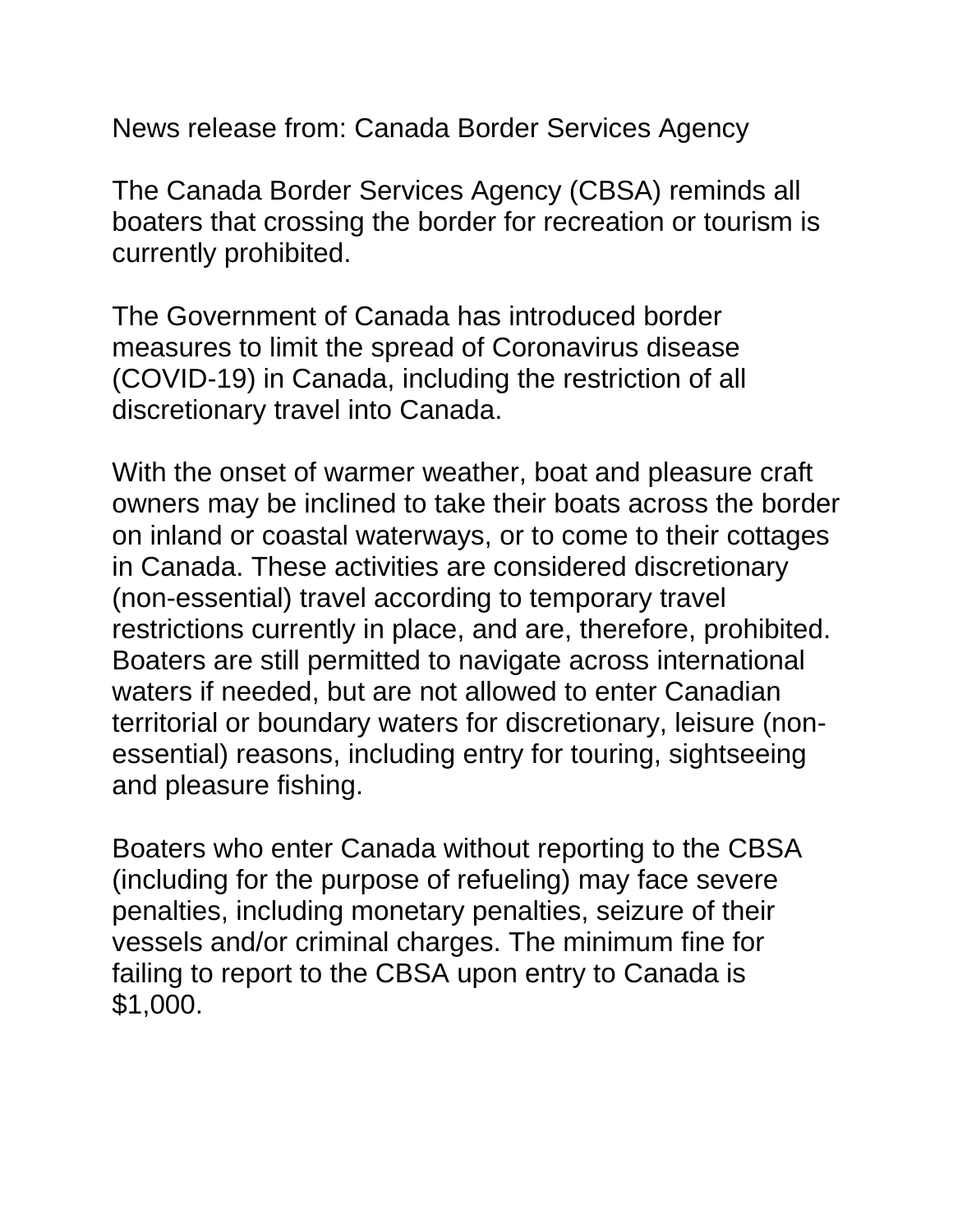News release from: Canada Border Services Agency

The Canada Border Services Agency (CBSA) reminds all boaters that crossing the border for recreation or tourism is currently prohibited.

The Government of Canada has introduced border measures to limit the spread of Coronavirus disease (COVID-19) in Canada, including the restriction of all discretionary travel into Canada.

With the onset of warmer weather, boat and pleasure craft owners may be inclined to take their boats across the border on inland or coastal waterways, or to come to their cottages in Canada. These activities are considered discretionary (non-essential) travel according to temporary travel restrictions currently in place, and are, therefore, prohibited. Boaters are still permitted to navigate across international waters if needed, but are not allowed to enter Canadian territorial or boundary waters for discretionary, leisure (nonessential) reasons, including entry for touring, sightseeing and pleasure fishing.

Boaters who enter Canada without reporting to the CBSA (including for the purpose of refueling) may face severe penalties, including monetary penalties, seizure of their vessels and/or criminal charges. The minimum fine for failing to report to the CBSA upon entry to Canada is \$1,000.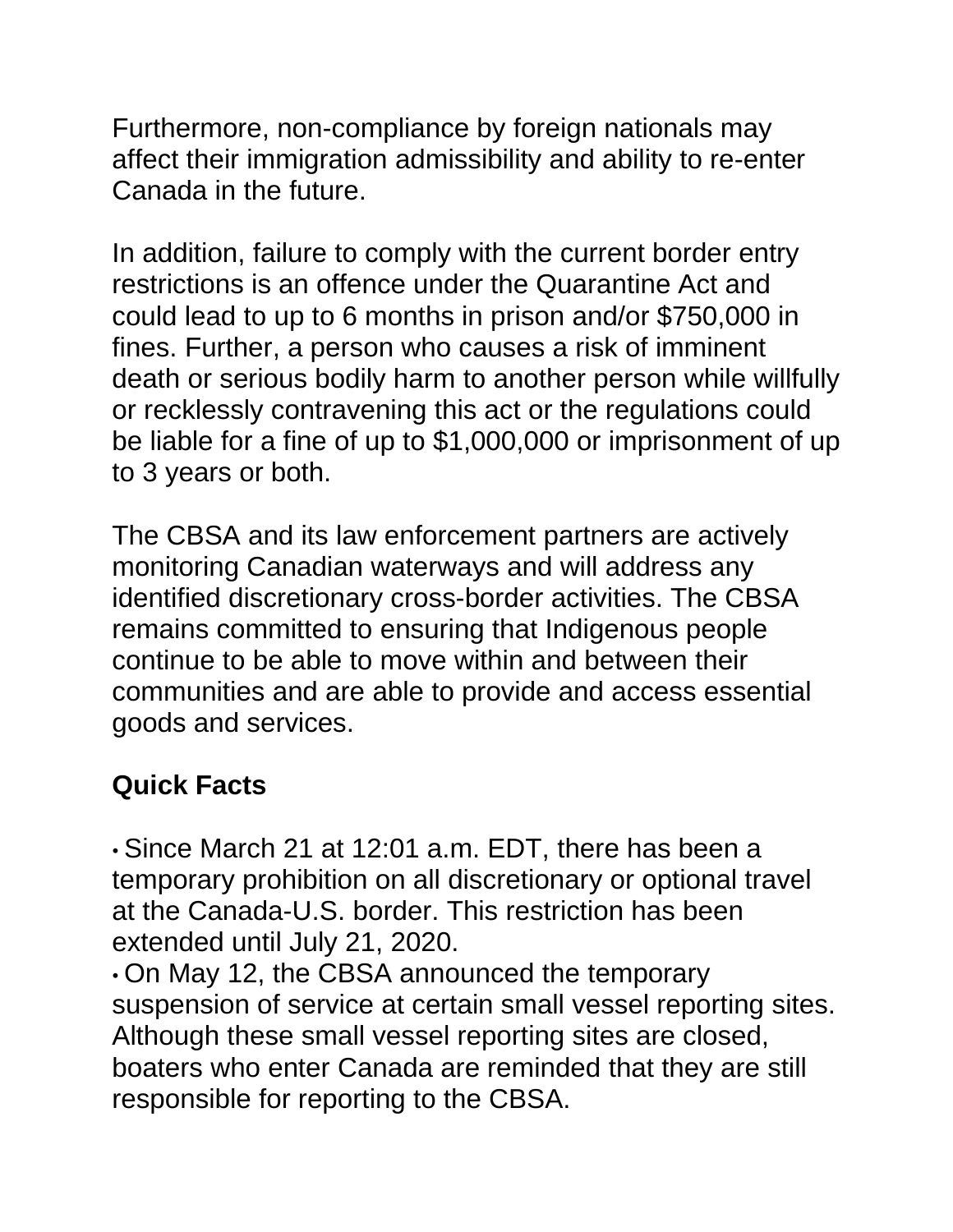Furthermore, non-compliance by foreign nationals may affect their immigration admissibility and ability to re-enter Canada in the future.

In addition, failure to comply with the current border entry restrictions is an offence under the Quarantine Act and could lead to up to 6 months in prison and/or \$750,000 in fines. Further, a person who causes a risk of imminent death or serious bodily harm to another person while willfully or recklessly contravening this act or the regulations could be liable for a fine of up to \$1,000,000 or imprisonment of up to 3 years or both.

The CBSA and its law enforcement partners are actively monitoring Canadian waterways and will address any identified discretionary cross-border activities. The CBSA remains committed to ensuring that Indigenous people continue to be able to move within and between their communities and are able to provide and access essential goods and services.

## **Quick Facts**

• Since March 21 at 12:01 a.m. EDT, there has been a temporary prohibition on all discretionary or optional travel at the Canada-U.S. border. This restriction has been extended until July 21, 2020.

• On May 12, the CBSA announced the temporary suspension of service at certain small vessel reporting sites. Although these small vessel reporting sites are closed, boaters who enter Canada are reminded that they are still responsible for reporting to the CBSA.